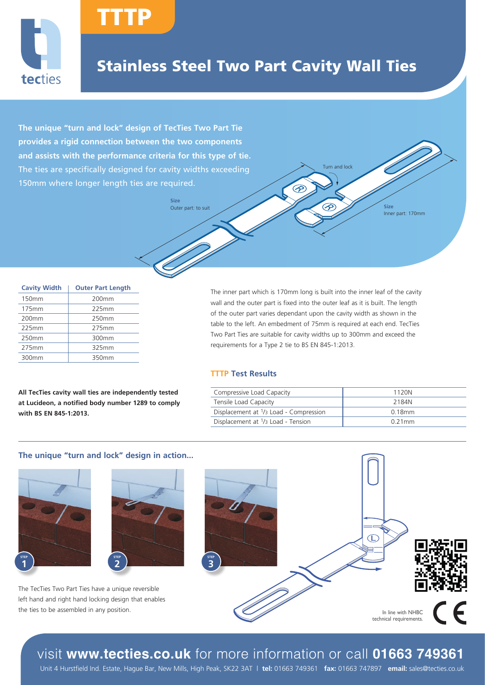

## Stainless Steel Two Part Cavity Wall Ties

Outer part: to suit Size

ᢙ

**The unique "turn and lock" design of TecTies Two Part Tie provides a rigid connection between the two components and assists with the performance criteria for this type of tie.** The ties are specifically designed for cavity widths exceeding 150mm where longer length ties are required.

TTTP

**Size**

| <b>Cavity Width</b> | <b>Outer Part Length</b> |  |
|---------------------|--------------------------|--|
| 150mm               | 200 <sub>mm</sub>        |  |
| 175mm               | 225mm                    |  |
| 200mm               | 250mm                    |  |
| 225mm               | 275mm                    |  |
| 250mm               | 300mm                    |  |
| 275mm               | 325mm                    |  |
| 300mm               | 350mm                    |  |

**All TecTies cavity wall ties are independently tested at Lucideon, a notified body number 1289 to comply with BS EN 845-1:2013.**

The inner part which is 170mm long is built into the inner leaf of the cavity wall and the outer part is fixed into the outer leaf as it is built. The length of the outer part varies dependant upon the cavity width as shown in the table to the left. An embedment of 75mm is required at each end. TecTies Two Part Ties are suitable for cavity widths up to 300mm and exceed the requirements for a Type 2 tie to BS EN 845-1:2013.

#### **TTTP Test Results**

| Compressive Load Capacity              | 1120N     |
|----------------------------------------|-----------|
| Tensile Load Capacity                  | 2184N     |
| Displacement at 1/3 Load - Compression | $0.18$ mm |
| Displacement at 1/3 Load - Tension     | $0.21$ mm |

Turn and lock

Inner part: 170mm

#### **The unique "turn and lock" design in action...**





The TecTies Two Part Ties have a unique reversible left hand and right hand locking design that enables the ties to be assembled in any position.



visit **www.tecties.co.uk** for more information or call **01663 749361**

Unit 4 Hurstfield Ind. Estate, Hague Bar, New Mills, High Peak, SK22 3AT | **tel:** 01663 749361 **fax:** 01663 747897 **email:** sales@tecties.co.uk